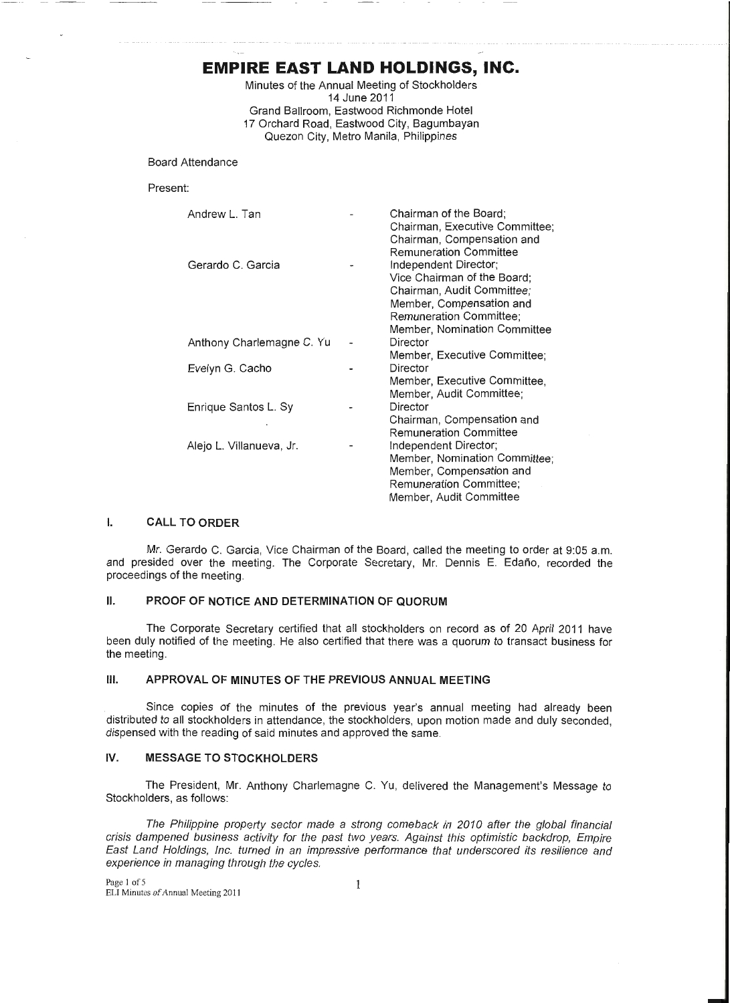# **EMPIRE EAST LAND HOLDINGS, INC.**

, \_\_\_\_ ....\_\_\_\_,

Minutes of the Annual Meeting of Stockholders 14 June 2011 Grand Ballroom, Eastwood Richmonde Hotel 17 Orchard Road, Eastwood City, Bagumbayan Quezon City, Metro Manila, Philippines

Board Attendance

Present:

| Andrew L. Tan             | Chairman of the Board;<br>Chairman, Executive Committee;<br>Chairman, Compensation and<br><b>Remuneration Committee</b>                                                   |
|---------------------------|---------------------------------------------------------------------------------------------------------------------------------------------------------------------------|
| Gerardo C. Garcia         | Independent Director;<br>Vice Chairman of the Board;<br>Chairman, Audit Committee;<br>Member, Compensation and<br>Remuneration Committee;<br>Member, Nomination Committee |
| Anthony Charlemagne C. Yu | Director<br>Member, Executive Committee;                                                                                                                                  |
| Evelyn G. Cacho           | Director<br>Member, Executive Committee,<br>Member, Audit Committee;                                                                                                      |
| Enrique Santos L. Sy      | Director<br>Chairman, Compensation and<br><b>Remuneration Committee</b>                                                                                                   |
| Alejo L. Villanueva, Jr.  | Independent Director;<br>Member, Nomination Committee;<br>Member, Compensation and<br><b>Remuneration Committee:</b><br>Member, Audit Committee                           |

# I. **CALL TO ORDER**

Mr. Gerardo C. Garcia, Vice Chairman of the Board, called the meeting to order at 9:05 a.m. and presided over the meeting. The Corporate Secretary, Mr. Dennis E. Edaño, recorded the proceedings of the meeting.

## **II. PROOF OF NOTICE AND DETERMINATION OF QUORUM**

The Corporate Secretary certified that all stockholders on record as of 20 April 2011 have been duly notified of the meeting. He also certified that there was a quorum to transact business for the meeting.

# **Ill. APPROVAL OF MINUTES OF THE PREVIOUS ANNUAL MEETING**

Since copies of the minutes of the previous year's annual meeting had already been distributed to all stockholders in attendance, the stockholders, upon motion made and duly seconded, dispensed with the reading of said minutes and approved the same.

# IV. **MESSAGE TO STOCKHOLDERS**

The President, Mr. Anthony Charlemagne C. Yu, delivered the Management's Message to Stockholders, as follows:

The Philippine property sector made a strong comeback in 2010 after the global financial crisis dampened business activity for the past two years. Against this optimistic backdrop, Empire East Land Holdings, Inc. turned in an impressive performance that underscored its resilience and experience in managing through the cycles.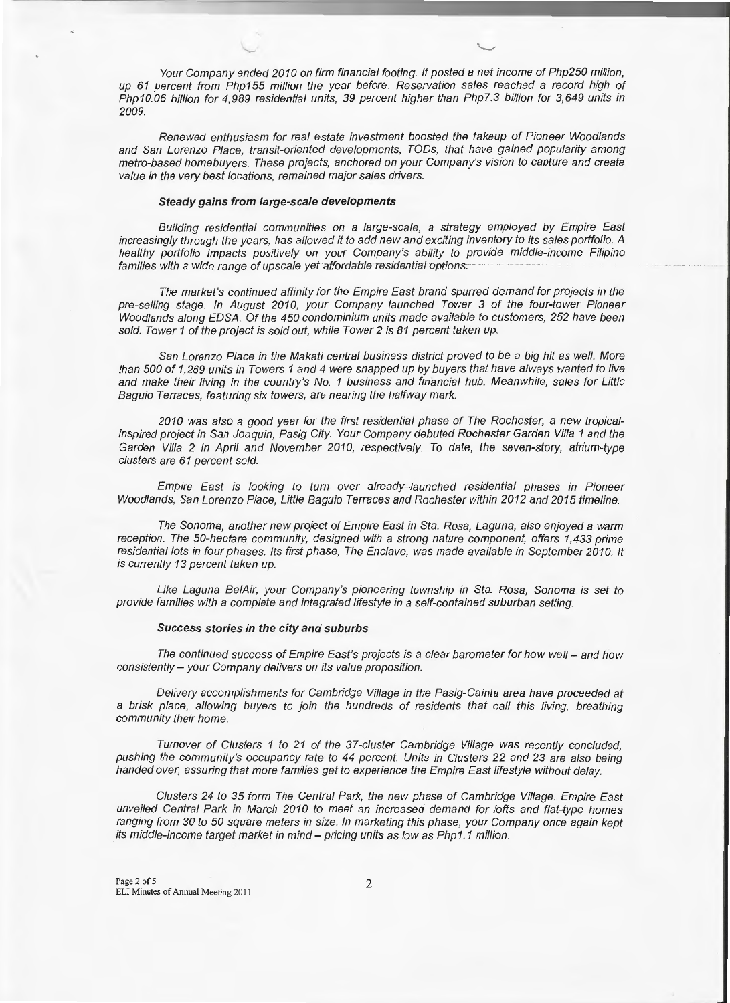Your Company ended 2010 on firm financial footing. It posted a net income of Php250 million, up 61 percent from Php155 million the year before. Reservation sales reached a record high of Php10.06 billion for 4,989 residential units, 39 percent higher than Php7.3 billion for 3,649 units in 2009.

. The contract of the contract of the contract of the contract of the contract of the contract of the contract of the contract of the contract of the contract of the contract of the contract of the contract of the contrac

Renewed enthusiasm for real estate investment boosted the takeup of Pioneer Woodlands and San Lorenzo Place, transit-oriented developments, TODs, that have gained popularity among metro-based homebuyers. These projects, anchored on your Company's vision to capture and create value in the very best locations, remained major sales drivers.

### **Steady gains from large-scale developments**

"-

Building residential communities on a large-scale, a strategy employed by Empire East increasingly through the years, has allowed it to add new and exciting inventory to its sales portfolio. A healthy portfolio impacts positively on your Company's ability to provide middle-income Filipino families with a wide range of upscale yet affordable residential options.

The market's continued affinity for the Empire East brand spurred demand for projects in the pre-selling stage. In August 2010, your Company launched Tower 3 of the four-tower Pioneer Woodlands along EDSA. Of the 450 condominium units made available to customers, 252 have been sold. Tower 1 of the project is sold out, while Tower 2 is 81 percent taken up.

San Lorenzo Place in the Makati central business district proved to be a big hit as well. More than 500 of 1,269 units in Towers 1 and 4 were snapped up by buyers that have always wanted to live and make their living in the country's No. 1 business and financial hub. Meanwhile, sales for Little Baguio Terraces, featuring six towers, are nearing the halfway mark.

2010 was also a good year for the first residential phase of The Rochester, a new tropicalinspired project in San Joaquin, Pasig City. Your Company debuted Rochester Garden Villa 1 and the Garden Villa 2 in April and November 2010, respectively. To date, the seven-story, atrium-type clusters are 61 percent sold.

Empire East is looking to turn over already-launched residential phases in Pioneer Woodlands, San Lorenzo Place, Little Baguio Terraces and Rochester within 2012 and 2015 timeline.

The Sonoma, another new project of Empire East in Sta. Rosa, Laguna, also enjoyed a warm reception. The 50-hectare community, designed with a strong nature component, offers 1,433 prime residential lots in four phases. Its first phase, The Enclave, was made available in September 2010. It is currently 13 percent taken up.

Like Laguna Be/Air, your Company's pioneering township in Sta. Rosa, Sonoma is set to provide families with a complete and integrated lifestyle in a self-contained suburban setting.

### **Success stories in the city and suburbs**

The continued success of Empire East's projects is a clear barometer for how well - and how consistently - your Company delivers on its value proposition.

Delivery accomplishments for Cambridge Village in the Pasig-Cainta area have proceeded at a brisk place, allowing buyers to join the hundreds of residents that call this living, breathing community their home.

Turnover of Clusters 1 to 21 of the 37-c/uster Cambridge Village was recently concluded, pushing the community's occupancy rate to 44 percent. Units in Clusters 22 and 23 are also being handed over, assuring that more families get to experience the Empire East lifestyle without delay.

Clusters 24 to 35 form The Central Park, the new phase of Cambridge Village. Empire East unveiled Central Park in March 2010 to meet an increased demand for lofts and flat-type homes ranging from 30 to 50 square meters in size. In marketing this phase, your Company once again kept its middle-income target market in mind- pricing units as low as Php1.1 million.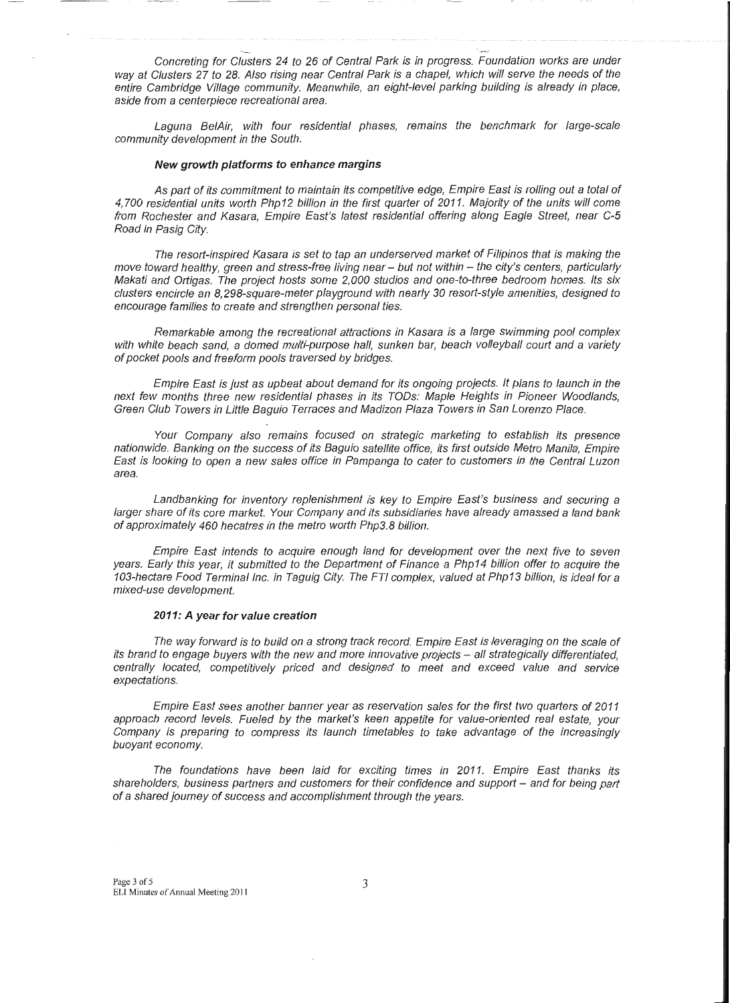Concreting for Clusters 24 to 26 of Central Park is in progress. Foundation works are under way at Clusters 27 to 28. Also rising near Central Park is a chapel, which will serve the needs of the entire Cambridge Village community. Meanwhile, an eight-level parking building is already in place, aside from a centerpiece recreational area.

.\_,\_\_..\_

Laguna Be/Air, with four residential phases, remains the benchmark for large-scale community development in the South.

### **New growth platforms to enhance margins**

As part of its commitment to maintain its competitive edge, Empire East is rolling out a total of 4, 700 residential units worth Php12 billion in the first quarter of 2011. Majority of the units will come from Rochester and Kasara, Empire East's latest residential offering along Eagle Street, near C-5 Road in Pasig City.

The resort-inspired Kasara is set to tap an underserved market of Filipinos that is making the move toward healthy, green and stress-free living near - but not within - the city's centers, particularly Makati and Ortigas. The project hosts some 2,000 studios and one-to-three bedroom homes. Its six clusters encircle an 8,298-square-meter playground with nearly 30 resort-style amenities, designed to encourage families to create and strengthen personal ties.

Remarkable among the recreational attractions in Kasara is a large swimming pool complex with white beach sand, a domed multi-purpose hall, sunken bar, beach volleyball court and a variety of pocket pools and freeform pools traversed by bridges.

Empire East is just as upbeat about demand for its ongoing projects. It plans to launch in the next few months three new residential phases in its TODs: Maple Heights in Pioneer Woodlands, Green Club Towers in Little Baguio Terraces and Madizon Plaza Towers in San Lorenzo Place.

Your Company also remains focused on strategic marketing to establish its presence nationwide. Banking on the success of its Baguio satellite office, its first outside Metro Manila, Empire East is looking to open a new sales office in Pampanga to cater to customers in the Central Luzon area.

Landbanking for inventory replenishment is key to Empire East's business and securing a larger share of its core market. Your Company and its subsidiaries have already amassed a land bank of approximately 460 hecatres in the metro worth Php3.8 billion.

Empire East intends to acquire enough land for development over the next five to seven years. Early this year, it submitted to the Department of Finance a Php14 billion offer to acquire the 103-hectare Food Terminal Inc. in Taguig City. The FTI complex, valued at Php13 billion, is ideal for a mixed-use development.

#### **2011: A year for value creation**

The way forward is to build on a strong track record. Empire East is leveraging on the scale of its brand to engage buyers with the new and more innovative projects - all strategically differentiated, centrally located, competitively priced and designed to meet and exceed value and service expectations.

Empire East sees another banner year as reservation sales for the first two quarters of 2011 approach record levels. Fueled by the market's keen appetite for value-oriented real estate, your Company is preparing to compress its launch timetables to take advantage of the increasingly buoyant economy.

The foundations have been laid for exciting times in 2011. Empire East thanks its shareholders, business partners and customers for their confidence and support – and for being part of a shared journey of success and accomplishment through the years.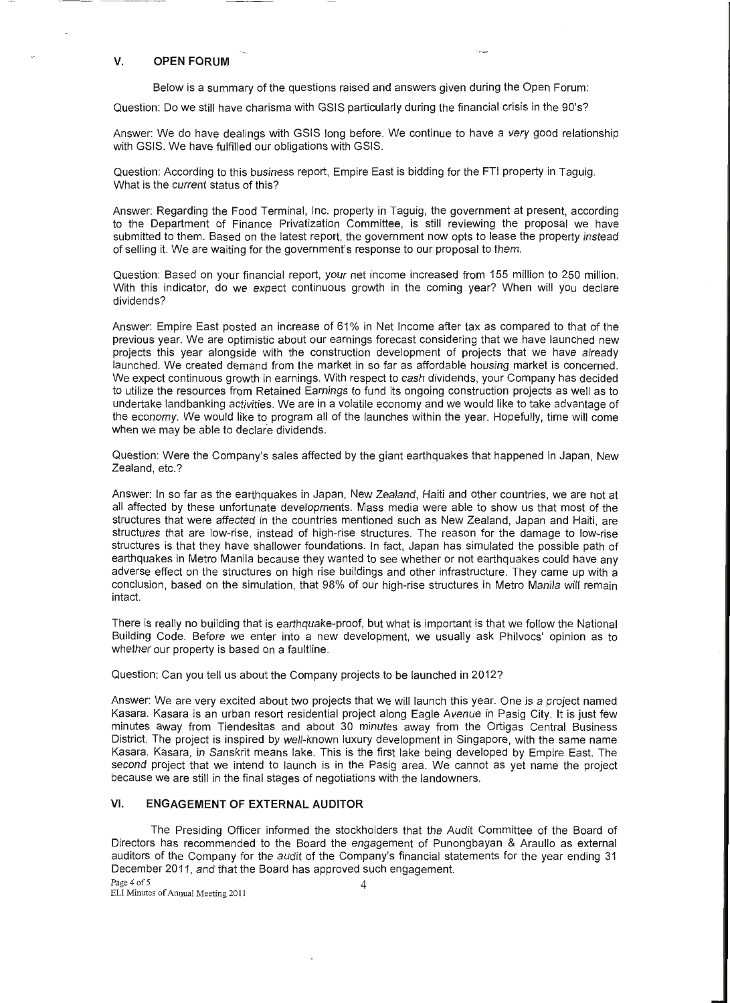### **V. OPEN FORUM**

'--

Below is a summary of the questions raised and answers given during the Open Forum:

"'--"

Question: Do we still have charisma with GSIS particularly during the financial crisis in the 90's?

Answer: We do have dealings with GSIS long before. We continue to have a very good relationship with GSIS. We have fulfilled our obligations with GSIS.

Question: According to this business report, Empire East is bidding for the FTI property in Taguig. What is the current status of this?

Answer: Regarding the Food Terminal, Inc. property in Taguig, the government at present, according to the Department of Finance Privatization Committee, is still reviewing the proposal we have submitted to them. Based on the latest report, the government now opts to lease the property instead of selling it. We are waiting for the government's response to our proposal to them.

Question: Based on your financial report, your net income increased from 155 million to 250 million. With this indicator, do we expect continuous growth in the coming year? When will you declare dividends?

Answer: Empire East posted an increase of 61% in Net Income after tax as compared to that of the previous year. We are optimistic about our earnings forecast considering that we have launched new projects this year alongside with the construction development of projects that we have already launched. We created demand from the market in so far as affordable housing market is concerned. We expect continuous growth in earnings. With respect to cash dividends, your Company has decided to utilize the resources from Retained Earnings to fund its ongoing construction projects as well as to undertake landbanking activities. We are in a volatile economy and we would like to take advantage of the economy. We would like to program all of the launches within the year. Hopefully, time will come when we may be able to declare dividends.

Question: Were the Company's sales affected by the giant earthquakes that happened in Japan, New Zealand, etc.?

Answer: In so far as the earthquakes in Japan, New Zealand, Haiti and other countries, we are not at all affected by these unfortunate developments. Mass media were able to show us that most of the structures that were affected in the countries mentioned such as New Zealand, Japan and Haiti, are structures that are low-rise, instead of high-rise structures. The reason for the damage to low-rise structures is that they have shallower foundations. In fact, Japan has simulated the possible path of earthquakes in Metro Manila because they wanted to see whether or not earthquakes could have any adverse effect on the structures on high rise buildings and other infrastructure. They came up with a conclusion, based on the simulation, that 98% of our high-rise structures in Metro Manila will remain intact.

There is really no building that is earthquake-proof, but what is important is that we follow the National Building Code. Before we enter into a new development, we usually ask Philvocs' opinion as to whether our property is based on a faultline.

Question: Can you tell us about the Company projects to be launched in 2012?

Answer: We are very excited about two projects that we will launch this year. One is a project named Kasara. Kasara is an urban resort residential project along Eagle Avenue in Pasig City. It is just few minutes away from Tiendesitas and about 30 minutes away from the Ortigas Central Business District. The project is inspired by well-known luxury development in Singapore, with the same name Kasara. Kasara, in Sanskrit means lake. This is the first lake being developed by Empire East. The second project that we intend to launch is in the Pasig area. We cannot as yet name the project because we are still in the final stages of negotiations with the landowners.

## **VI. ENGAGEMENT OF EXTERNAL AUDITOR**

The Presiding Officer informed the stockholders that the Audit Committee of the Board of Directors has recommended to the Board the engagement of Punongbayan & Araullo as external auditors of the Company for the audit of the Company's financial statements for the year ending 31 December 2011, and that the Board has approved such engagement.